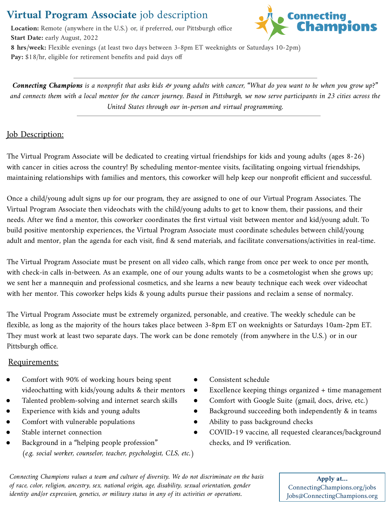# **Virtual Program Associate** job description

**Location:** Remote (anywhere in the U.S.) or, if preferred, our Pittsburgh office **Start Date:** early August, 2022



**8 hrs/week:** Flexible evenings (at least two days between 3-8pm ET weeknights or Saturdays 10-2pm) Pay: \$18/hr, eligible for retirement benefits and paid days off

*Connecting Champions is a nonprofit that asks kids & young adults with cancer, "What do you want to be when you grow up?" and connects them with a local mentor for the cancer journey. Based in Pittsburgh, we now serve participants in 23 cities across the United States through our in-person and virtual programming.*

# **Job Description:**

The Virtual Program Associate will be dedicated to creating virtual friendships for kids and young adults (ages 8-26) with cancer in cities across the country! By scheduling mentor-mentee visits, facilitating ongoing virtual friendships, maintaining relationships with families and mentors, this coworker will help keep our nonprofit efficient and successful.

Once a child/young adult signs up for our program, they are assigned to one of our Virtual Program Associates. The Virtual Program Associate then videochats with the child/young adults to get to know them, their passions, and their needs. After we find a mentor, this coworker coordinates the first virtual visit between mentor and kid/young adult. To build positive mentorship experiences, the Virtual Program Associate must coordinate schedules between child/young adult and mentor, plan the agenda for each visit, find & send materials, and facilitate conversations/activities in real-time.

The Virtual Program Associate must be present on all video calls, which range from once per week to once per month, with check-in calls in-between. As an example, one of our young adults wants to be a cosmetologist when she grows up; we sent her a mannequin and professional cosmetics, and she learns a new beauty technique each week over videochat with her mentor. This coworker helps kids & young adults pursue their passions and reclaim a sense of normalcy.

The Virtual Program Associate must be extremely organized, personable, and creative. The weekly schedule can be flexible, as long as the majority of the hours takes place between 3-8pm ET on weeknights or Saturdays 10am-2pm ET. They must work at least two separate days. The work can be done remotely (from anywhere in the U.S.) or in our Pittsburgh office.

## Requirements:

- Comfort with 90% of working hours being spent videochatting with kids/young adults & their mentors
- Talented problem-solving and internet search skills
- Experience with kids and young adults
- Comfort with vulnerable populations
- Stable internet connection
- Background in a "helping people profession" *(e.g. social worker, counselor, teacher, psychologist, CLS, etc.)*
- Consistent schedule
- Excellence keeping things organized + time management
- Comfort with Google Suite (gmail, docs, drive, etc.)
- Background succeeding both independently & in teams
- Ability to pass background checks
- COVID-19 vaccine, all requested clearances/background checks, and I9 verification.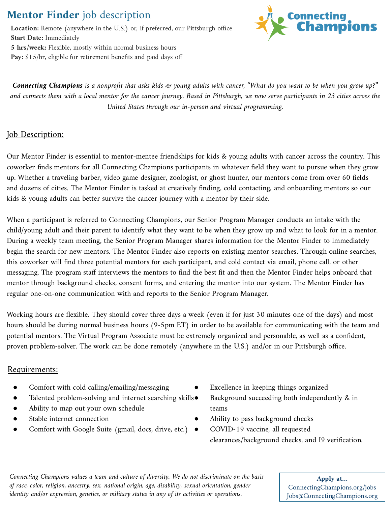# **Mentor Finder** job description

**Location:** Remote (anywhere in the U.S.) or, if preferred, our Pittsburgh office **Start Date:** Immediately **5 hrs/week:** Flexible, mostly within normal business hours Pay: \$15/hr, eligible for retirement benefits and paid days off



*Connecting Champions is a nonprofit that asks kids & young adults with cancer, "What do you want to be when you grow up?" and connects them with a local mentor for the cancer journey. Based in Pittsburgh, we now serve participants in 23 cities across the United States through our in-person and virtual programming.*

## **Job Description:**

Our Mentor Finder is essential to mentor-mentee friendships for kids & young adults with cancer across the country. This coworker finds mentors for all Connecting Champions participants in whatever field they want to pursue when they grow up. Whether a traveling barber, video game designer, zoologist, or ghost hunter, our mentors come from over 60 fields and dozens of cities. The Mentor Finder is tasked at creatively finding, cold contacting, and onboarding mentors so our kids & young adults can better survive the cancer journey with a mentor by their side.

When a participant is referred to Connecting Champions, our Senior Program Manager conducts an intake with the child/young adult and their parent to identify what they want to be when they grow up and what to look for in a mentor. During a weekly team meeting, the Senior Program Manager shares information for the Mentor Finder to immediately begin the search for new mentors. The Mentor Finder also reports on existing mentor searches. Through online searches, this coworker will find three potential mentors for each participant, and cold contact via email, phone call, or other messaging. The program staff interviews the mentors to find the best fit and then the Mentor Finder helps onboard that mentor through background checks, consent forms, and entering the mentor into our system. The Mentor Finder has regular one-on-one communication with and reports to the Senior Program Manager.

Working hours are flexible. They should cover three days a week (even if for just 30 minutes one of the days) and most hours should be during normal business hours (9-5pm ET) in order to be available for communicating with the team and potential mentors. The Virtual Program Associate must be extremely organized and personable, as well as a confident, proven problem-solver. The work can be done remotely (anywhere in the U.S.) and/or in our Pittsburgh office.

## Requirements:

- Comfort with cold calling/emailing/messaging
- Talented problem-solving and internet searching skills $\bullet$
- Ability to map out your own schedule
- Stable internet connection
- Comfort with Google Suite (gmail, docs, drive, etc.) ●
- Excellence in keeping things organized
- Background succeeding both independently  $&$  in teams
- Ability to pass background checks
- COVID-19 vaccine, all requested clearances/background checks, and I9 verification.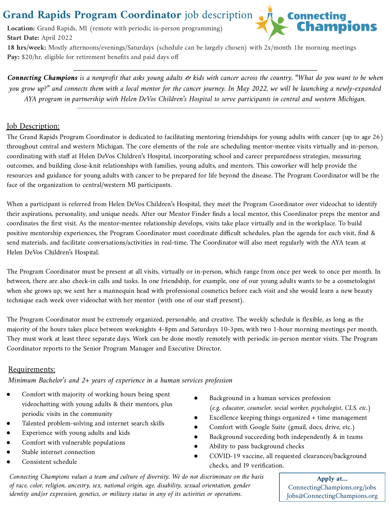# Grand Rapids Program Coordinator job description

**Location:** Grand Rapids, MI (remote with periodic in-person programming) **Start Date:** April 2022



**18 hrs/week:** Mostly afternoons/evenings/Saturdays (schedule can be largely chosen) with 2x/month 1hr morning meetings Pay: \$20/hr, eligible for retirement benefits and paid days off

*Connecting Champions is a nonprofit that asks young adults & kids with cancer across the country, "What do you want to be when you grow up?" and connects them with a local mentor for the cancer journey. In May 2022, we will be launching a newly-expanded AYA program in partnership with Helen DeVos Children's Hospital to serve participants in central and western Michigan.*

### **Job Description:**

The Grand Rapids Program Coordinator is dedicated to facilitating mentoring friendships for young adults with cancer (up to age 26) throughout central and western Michigan. The core elements of the role are scheduling mentor-mentee visits virtually and in-person, coordinating with staff at Helen DeVos Children's Hospital, incorporating school and career preparedness strategies, measuring outcomes, and building close-knit relationships with families, young adults, and mentors. This coworker will help provide the resources and guidance for young adults with cancer to be prepared for life beyond the disease. The Program Coordinator will be the face of the organization to central/western MI participants.

When a participant is referred from Helen DeVos Children's Hospital, they meet the Program Coordinator over videochat to identify their aspirations, personality, and unique needs. After our Mentor Finder finds a local mentor, this Coordinator preps the mentor and coordinates the first visit. As the mentor-mentee relationship develops, visits take place virtually and in the workplace. To build positive mentorship experiences, the Program Coordinator must coordinate difficult schedules, plan the agenda for each visit, find & send materials, and facilitate conversations/activities in real-time. The Coordinator will also meet regularly with the AYA team at Helen DeVos Children's Hospital.

The Program Coordinator must be present at all visits, virtually or in-person, which range from once per week to once per month. In between, there are also check-in calls and tasks. In one friendship, for example, one of our young adults wants to be a cosmetologist when she grows up; we sent her a mannequin head with professional cosmetics before each visit and she would learn a new beauty technique each week over videochat with her mentor (with one of our staff present).

The Program Coordinator must be extremely organized, personable, and creative. The weekly schedule is flexible, as long as the majority of the hours takes place between weeknights 4-8pm and Saturdays 10-3pm, with two 1-hour morning meetings per month. They must work at least three separate days. Work can be done mostly remotely with periodic in-person mentor visits. The Program Coordinator reports to the Senior Program Manager and Executive Director.

## Requirements:

*Minimum Bachelor's and 2+ years of experience in a human services profession*

- Comfort with majority of working hours being spent videochatting with young adults & their mentors, plus periodic visits in the community
- Talented problem-solving and internet search skills
- Experience with young adults and kids
- Comfort with vulnerable populations
- Stable internet connection
- Consistent schedule
- Background in a human services profession *(e.g. educator, counselor, social worker, psychologist, CLS, etc.)*
- Excellence keeping things organized + time management
- Comfort with Google Suite (gmail, docs, drive, etc.)
- Background succeeding both independently & in teams
- Ability to pass background checks
- COVID-19 vaccine, all requested clearances/background checks, and I9 verification.

*Connecting Champions values a team and culture of diversity. We do not discriminate on the basis of race, color, religion, ancestry, sex, national origin, age, disability, sexual orientation, gender identity and/or expression, genetics, or military status in any of its activities or operations.*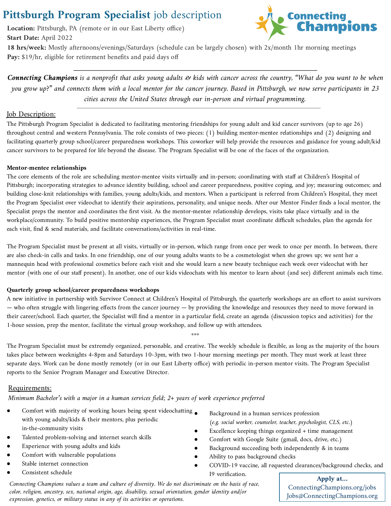# **Pittsburgh Program Specialist** job description

**Location:** Pittsburgh, PA (remote or in our East Liberty office) **Start Date:** April 2022



**18 hrs/week:** Mostly afternoons/evenings/Saturdays (schedule can be largely chosen) with 2x/month 1hr morning meetings **Pay:** \$19/hr, eligible for retirement benefits and paid days off

*Connecting Champions is a nonprofit that asks young adults & kids with cancer across the country, "What do you want to be when you grow up?" and connects them with a local mentor for the cancer journey. Based in Pittsburgh, we now serve participants in 23 cities across the United States through our in-person and virtual programming.*

#### **Job Description:**

The Pittsburgh Program Specialist is dedicated to facilitating mentoring friendships for young adult and kid cancer survivors (up to age 26) throughout central and western Pennsylvania. The role consists of two pieces: (1) building mentor-mentee relationships and (2) designing and facilitating quarterly group school/career preparedness workshops. This coworker will help provide the resources and guidance for young adult/kid cancer survivors to be prepared for life beyond the disease. The Program Specialist will be one of the faces of the organization.

#### **Mentor-mentee relationships**

The core elements of the role are scheduling mentor-mentee visits virtually and in-person; coordinating with staff at Children's Hospital of Pittsburgh; incorporating strategies to advance identity building, school and career preparedness, positive coping, and joy; measuring outcomes; and building close-knit relationships with families, young adults/kids, and mentors. When a participant is referred from Children's Hospital, they meet the Program Specialist over videochat to identify their aspirations, personality, and unique needs. After our Mentor Finder finds a local mentor, the Specialist preps the mentor and coordinates the first visit. As the mentor-mentee relationship develops, visits take place virtually and in the workplace/community. To build positive mentorship experiences, the Program Specialist must coordinate difficult schedules, plan the agenda for each visit, find & send materials, and facilitate conversations/activities in real-time.

The Program Specialist must be present at all visits, virtually or in-person, which range from once per week to once per month. In between, there are also check-in calls and tasks. In one friendship, one of our young adults wants to be a cosmetologist when she grows up; we sent her a mannequin head with professional cosmetics before each visit and she would learn a new beauty technique each week over videochat with her mentor (with one of our staff present). In another, one of our kids videochats with his mentor to learn about (and see) different animals each time.

#### **Quarterly group school/career preparedness workshops**

A new initiative in partnership with Survivor Connect at Children's Hospital of Pittsburgh, the quarterly workshops are an effort to assist survivors — who often struggle with lingering effects from the cancer journey — by providing the knowledge and resources they need to move forward in their career/school. Each quarter, the Specialist will find a mentor in a particular field, create an agenda (discussion topics and activities) for the 1-hour session, prep the mentor, facilitate the virtual group workshop, and follow up with attendees.

\*\*\*

The Program Specialist must be extremely organized, personable, and creative. The weekly schedule is flexible, as long as the majority of the hours takes place between weeknights 4-8pm and Saturdays 10-3pm, with two 1-hour morning meetings per month. They must work at least three separate days. Work can be done mostly remotely (or in our East Liberty office) with periodic in-person mentor visits. The Program Specialist reports to the Senior Program Manager and Executive Director.

#### Requirements:

*Minimum Bachelor's with a major in a human services field; 2+ years of work experience preferred*

- Comfort with majority of working hours being spent videochatting with young adults/kids & their mentors, plus periodic in-the-community visits
- Talented problem-solving and internet search skills
- Experience with young adults and kids
- Comfort with vulnerable populations
- Stable internet connection
- Consistent schedule
- Background in a human services profession *(e.g. social worker, counselor, teacher, psychologist, CLS, etc.)*
- Excellence keeping things organized + time management
- Comfort with Google Suite (gmail, docs, drive, etc.)
- Background succeeding both independently & in teams
- Ability to pass background checks
- COVID-19 vaccine, all requested clearances/background checks, and I9 verification.

*Connecting Champions values a team and culture of diversity. We do not discriminate on the basis of race, color, religion, ancestry, sex, national origin, age, disability, sexual orientation, gender identity and/or expression, genetics, or military status in any of its activities or operations.*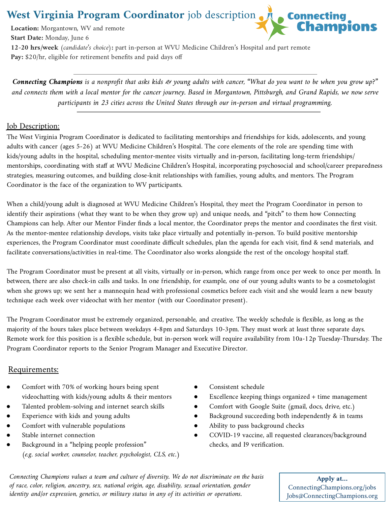**West Virginia Program Coordinator** job description



**Start Date:** Monday, June 6 **12-20 hrs/week** *(candidate's choice)***:** part in-person at WVU Medicine Children's Hospital and part remote Pay: \$20/hr, eligible for retirement benefits and paid days off

*Connecting Champions is a nonprofit that asks kids & young adults with cancer, "What do you want to be when you grow up?" and connects them with a local mentor for the cancer journey. Based in Morgantown, Pittsburgh, and Grand Rapids, we now serve participants in 23 cities across the United States through our in-person and virtual programming.*

### **Job Description:**

**Location:** Morgantown, WV and remote

The West Virginia Program Coordinator is dedicated to facilitating mentorships and friendships for kids, adolescents, and young adults with cancer (ages 5-26) at WVU Medicine Children's Hospital. The core elements of the role are spending time with kids/young adults in the hospital, scheduling mentor-mentee visits virtually and in-person, facilitating long-term friendships/ mentorships, coordinating with staff at WVU Medicine Children's Hospital, incorporating psychosocial and school/career preparedness strategies, measuring outcomes, and building close-knit relationships with families, young adults, and mentors. The Program Coordinator is the face of the organization to WV participants.

When a child/young adult is diagnosed at WVU Medicine Children's Hospital, they meet the Program Coordinator in person to identify their aspirations (what they want to be when they grow up) and unique needs, and "pitch" to them how Connecting Champions can help. After our Mentor Finder finds a local mentor, the Coordinator preps the mentor and coordinates the first visit. As the mentor-mentee relationship develops, visits take place virtually and potentially in-person. To build positive mentorship experiences, the Program Coordinator must coordinate difficult schedules, plan the agenda for each visit, find & send materials, and facilitate conversations/activities in real-time. The Coordinator also works alongside the rest of the oncology hospital staff.

The Program Coordinator must be present at all visits, virtually or in-person, which range from once per week to once per month. In between, there are also check-in calls and tasks. In one friendship, for example, one of our young adults wants to be a cosmetologist when she grows up; we sent her a mannequin head with professional cosmetics before each visit and she would learn a new beauty technique each week over videochat with her mentor (with our Coordinator present).

The Program Coordinator must be extremely organized, personable, and creative. The weekly schedule is flexible, as long as the majority of the hours takes place between weekdays 4-8pm and Saturdays 10-3pm. They must work at least three separate days. Remote work for this position is a flexible schedule, but in-person work will require availability from 10a-12p Tuesday-Thursday. The Program Coordinator reports to the Senior Program Manager and Executive Director.

### Requirements:

- Comfort with 70% of working hours being spent videochatting with kids/young adults & their mentors
- Talented problem-solving and internet search skills
- Experience with kids and young adults
- Comfort with vulnerable populations
- Stable internet connection
- Background in a "helping people profession" *(e.g. social worker, counselor, teacher, psychologist, CLS, etc.)*
- Consistent schedule
- Excellence keeping things organized + time management
- Comfort with Google Suite (gmail, docs, drive, etc.)
- Background succeeding both independently & in teams
- Ability to pass background checks
- COVID-19 vaccine, all requested clearances/background checks, and I9 verification.

*Connecting Champions values a team and culture of diversity. We do not discriminate on the basis of race, color, religion, ancestry, sex, national origin, age, disability, sexual orientation, gender identity and/or expression, genetics, or military status in any of its activities or operations.*